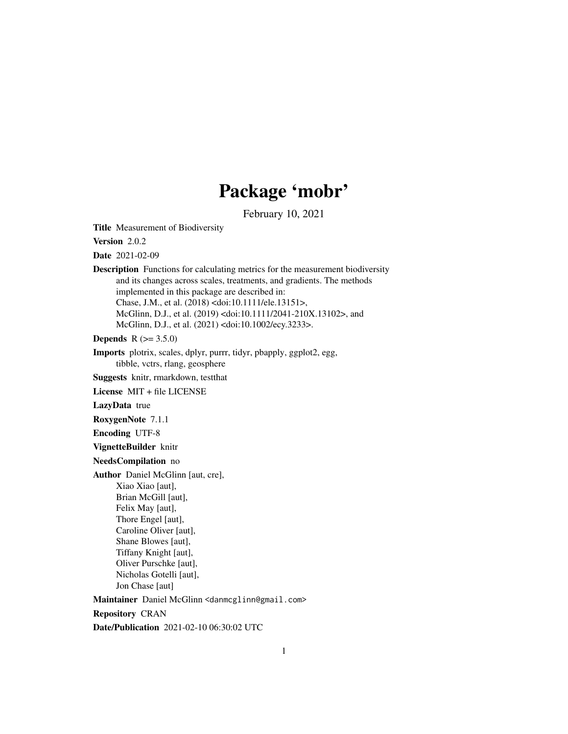# Package 'mobr'

February 10, 2021

<span id="page-0-0"></span>Title Measurement of Biodiversity

Version 2.0.2

Date 2021-02-09

Description Functions for calculating metrics for the measurement biodiversity and its changes across scales, treatments, and gradients. The methods implemented in this package are described in: Chase, J.M., et al. (2018) <doi:10.1111/ele.13151>, McGlinn, D.J., et al. (2019) <doi:10.1111/2041-210X.13102>, and McGlinn, D.J., et al. (2021) <doi:10.1002/ecy.3233>.

**Depends** R  $(>= 3.5.0)$ 

Imports plotrix, scales, dplyr, purrr, tidyr, pbapply, ggplot2, egg, tibble, vctrs, rlang, geosphere

Suggests knitr, rmarkdown, testthat

License MIT + file LICENSE

LazyData true

RoxygenNote 7.1.1

Encoding UTF-8

VignetteBuilder knitr

#### NeedsCompilation no

Author Daniel McGlinn [aut, cre], Xiao Xiao [aut], Brian McGill [aut], Felix May [aut],

> Thore Engel [aut], Caroline Oliver [aut], Shane Blowes [aut], Tiffany Knight [aut], Oliver Purschke [aut], Nicholas Gotelli [aut], Jon Chase [aut]

Maintainer Daniel McGlinn <danmcglinn@gmail.com>

Repository CRAN

Date/Publication 2021-02-10 06:30:02 UTC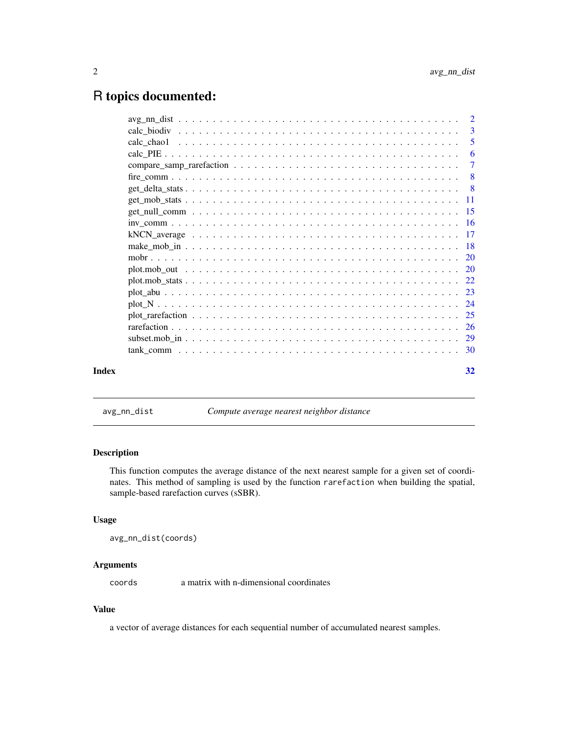# <span id="page-1-0"></span>R topics documented:

|       | $\overline{2}$ |
|-------|----------------|
|       | -3             |
|       | -5             |
|       | -6             |
|       | 7              |
|       | - 8            |
|       |                |
|       |                |
|       |                |
|       |                |
|       |                |
|       |                |
|       |                |
|       |                |
|       |                |
|       |                |
|       |                |
|       |                |
|       |                |
|       |                |
|       |                |
| Index | 32             |

avg\_nn\_dist *Compute average nearest neighbor distance*

# Description

This function computes the average distance of the next nearest sample for a given set of coordinates. This method of sampling is used by the function rarefaction when building the spatial, sample-based rarefaction curves (sSBR).

# Usage

```
avg_nn_dist(coords)
```
# Arguments

coords a matrix with n-dimensional coordinates

# Value

a vector of average distances for each sequential number of accumulated nearest samples.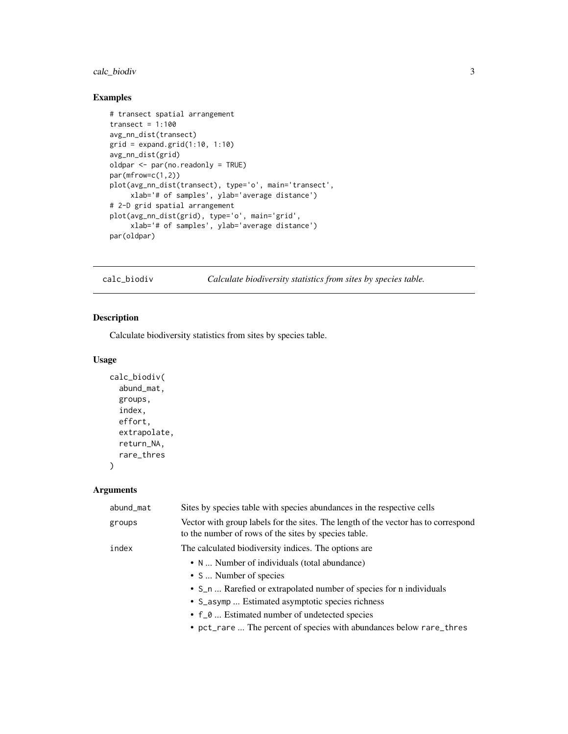# <span id="page-2-0"></span>calc\_biodiv 3

# Examples

```
# transect spatial arrangement
transect = 1:100avg_nn_dist(transect)
grid = expand.grid(1:10, 1:10)
avg_nn_dist(grid)
oldpar <- par(no.readonly = TRUE)
par(mfrow=c(1,2))
plot(avg_nn_dist(transect), type='o', main='transect',
     xlab='# of samples', ylab='average distance')
# 2-D grid spatial arrangement
plot(avg_nn_dist(grid), type='o', main='grid',
     xlab='# of samples', ylab='average distance')
par(oldpar)
```
calc\_biodiv *Calculate biodiversity statistics from sites by species table.*

# Description

Calculate biodiversity statistics from sites by species table.

#### Usage

```
calc_biodiv(
  abund_mat,
 groups,
  index,
  effort,
  extrapolate,
  return_NA,
  rare_thres
)
```

| abund_mat | Sites by species table with species abundances in the respective cells                                                                     |
|-----------|--------------------------------------------------------------------------------------------------------------------------------------------|
| groups    | Vector with group labels for the sites. The length of the vector has to correspond<br>to the number of rows of the sites by species table. |
| index     | The calculated biodiversity indices. The options are                                                                                       |
|           | • N  Number of individuals (total abundance)                                                                                               |
|           | • S  Number of species                                                                                                                     |
|           | • S_n  Rarefied or extrapolated number of species for n individuals                                                                        |
|           | • S_asymp  Estimated asymptotic species richness                                                                                           |
|           | • f_0  Estimated number of undetected species                                                                                              |
|           | • pct_rare  The percent of species with abundances below rare_thres                                                                        |
|           |                                                                                                                                            |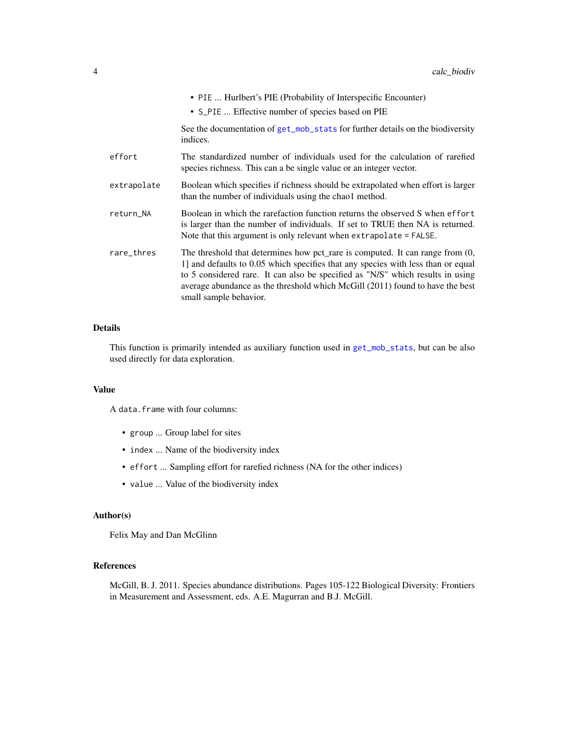<span id="page-3-0"></span>

|             | • PIE  Hurlbert's PIE (Probability of Interspecific Encounter)<br>• S_PIE  Effective number of species based on PIE                                                                                                                                                                                                                                                 |
|-------------|---------------------------------------------------------------------------------------------------------------------------------------------------------------------------------------------------------------------------------------------------------------------------------------------------------------------------------------------------------------------|
|             | See the documentation of get_mob_stats for further details on the biodiversity<br>indices.                                                                                                                                                                                                                                                                          |
| effort      | The standardized number of individuals used for the calculation of rarefied<br>species richness. This can a be single value or an integer vector.                                                                                                                                                                                                                   |
| extrapolate | Boolean which specifies if richness should be extrapolated when effort is larger<br>than the number of individuals using the chao1 method.                                                                                                                                                                                                                          |
| return_NA   | Boolean in which the rarefaction function returns the observed S when effort<br>is larger than the number of individuals. If set to TRUE then NA is returned.<br>Note that this argument is only relevant when extrapolate = FALSE.                                                                                                                                 |
| rare_thres  | The threshold that determines how pct_rare is computed. It can range from $(0, 0)$<br>1] and defaults to 0.05 which specifies that any species with less than or equal<br>to 5 considered rare. It can also be specified as "N/S" which results in using<br>average abundance as the threshold which McGill (2011) found to have the best<br>small sample behavior. |

# Details

This function is primarily intended as auxiliary function used in [get\\_mob\\_stats](#page-10-1), but can be also used directly for data exploration.

# Value

A data.frame with four columns:

- group ... Group label for sites
- index ... Name of the biodiversity index
- effort ... Sampling effort for rarefied richness (NA for the other indices)
- value ... Value of the biodiversity index

# Author(s)

Felix May and Dan McGlinn

# References

McGill, B. J. 2011. Species abundance distributions. Pages 105-122 Biological Diversity: Frontiers in Measurement and Assessment, eds. A.E. Magurran and B.J. McGill.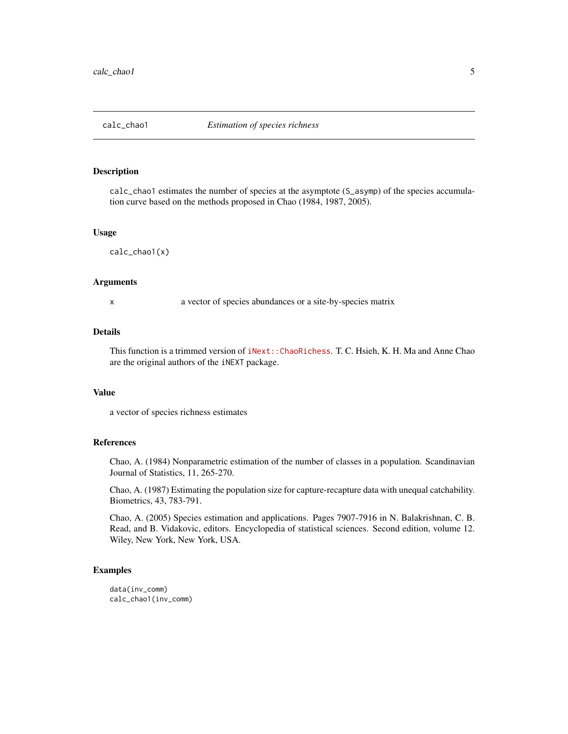<span id="page-4-1"></span><span id="page-4-0"></span>

#### Description

calc\_chao1 estimates the number of species at the asymptote (S\_asymp) of the species accumulation curve based on the methods proposed in Chao (1984, 1987, 2005).

#### Usage

calc\_chao1(x)

#### Arguments

x a vector of species abundances or a site-by-species matrix

# Details

This function is a trimmed version of [iNext::ChaoRichess](https://github.com/JohnsonHsieh/iNEXT). T. C. Hsieh, K. H. Ma and Anne Chao are the original authors of the iNEXT package.

# Value

a vector of species richness estimates

#### References

Chao, A. (1984) Nonparametric estimation of the number of classes in a population. Scandinavian Journal of Statistics, 11, 265-270.

Chao, A. (1987) Estimating the population size for capture-recapture data with unequal catchability. Biometrics, 43, 783-791.

Chao, A. (2005) Species estimation and applications. Pages 7907-7916 in N. Balakrishnan, C. B. Read, and B. Vidakovic, editors. Encyclopedia of statistical sciences. Second edition, volume 12. Wiley, New York, New York, USA.

# Examples

data(inv\_comm) calc\_chao1(inv\_comm)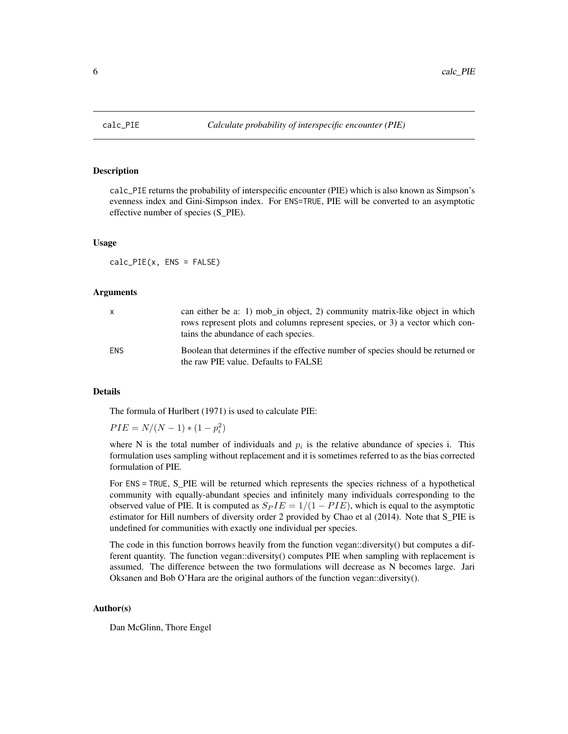<span id="page-5-0"></span>

#### Description

calc\_PIE returns the probability of interspecific encounter (PIE) which is also known as Simpson's evenness index and Gini-Simpson index. For ENS=TRUE, PIE will be converted to an asymptotic effective number of species (S\_PIE).

#### Usage

calc\_PIE(x, ENS = FALSE)

#### Arguments

| $\mathsf{x}$ | can either be a: 1) mob_in object, 2) community matrix-like object in which<br>rows represent plots and columns represent species, or 3) a vector which con-<br>tains the abundance of each species. |
|--------------|------------------------------------------------------------------------------------------------------------------------------------------------------------------------------------------------------|
| ENS.         | Boolean that determines if the effective number of species should be returned or<br>the raw PIE value. Defaults to FALSE                                                                             |

# Details

The formula of Hurlbert (1971) is used to calculate PIE:

 $PIE = N/(N-1) * (1 - p_i^2)$ 

where N is the total number of individuals and  $p_i$  is the relative abundance of species i. This formulation uses sampling without replacement and it is sometimes referred to as the bias corrected formulation of PIE.

For ENS = TRUE, S\_PIE will be returned which represents the species richness of a hypothetical community with equally-abundant species and infinitely many individuals corresponding to the observed value of PIE. It is computed as  $S_P I E = 1/(1 - P I E)$ , which is equal to the asymptotic estimator for Hill numbers of diversity order 2 provided by Chao et al (2014). Note that S\_PIE is undefined for communities with exactly one individual per species.

The code in this function borrows heavily from the function vegan::diversity() but computes a different quantity. The function vegan::diversity() computes PIE when sampling with replacement is assumed. The difference between the two formulations will decrease as N becomes large. Jari Oksanen and Bob O'Hara are the original authors of the function vegan::diversity().

#### Author(s)

Dan McGlinn, Thore Engel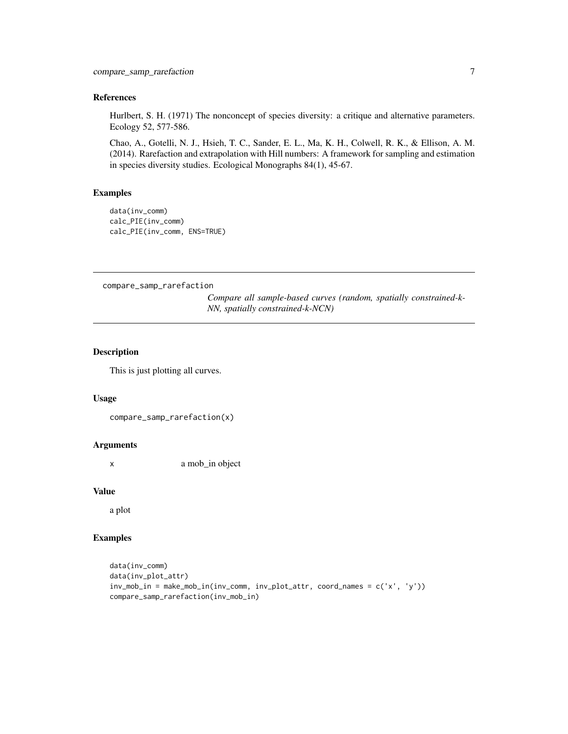# <span id="page-6-0"></span>References

Hurlbert, S. H. (1971) The nonconcept of species diversity: a critique and alternative parameters. Ecology 52, 577-586.

Chao, A., Gotelli, N. J., Hsieh, T. C., Sander, E. L., Ma, K. H., Colwell, R. K., & Ellison, A. M. (2014). Rarefaction and extrapolation with Hill numbers: A framework for sampling and estimation in species diversity studies. Ecological Monographs 84(1), 45-67.

# Examples

```
data(inv_comm)
calc_PIE(inv_comm)
calc_PIE(inv_comm, ENS=TRUE)
```
compare\_samp\_rarefaction

*Compare all sample-based curves (random, spatially constrained-k-NN, spatially constrained-k-NCN)*

# Description

This is just plotting all curves.

#### Usage

```
compare_samp_rarefaction(x)
```
#### **Arguments**

x a mob\_in object

#### Value

a plot

# Examples

```
data(inv_comm)
data(inv_plot_attr)
inv_mob_in = make_mob_in(inv_comm, inv_plot_attr, coord_names = c('x', 'y'))
compare_samp_rarefaction(inv_mob_in)
```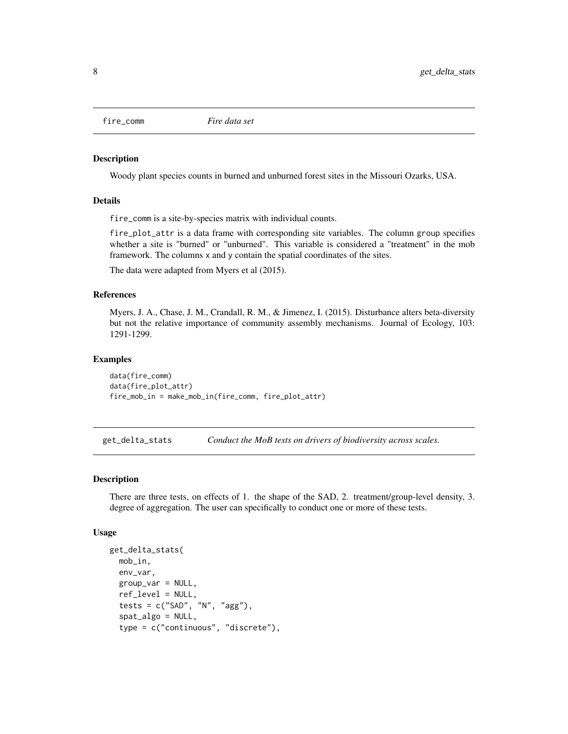<span id="page-7-0"></span>

#### Description

Woody plant species counts in burned and unburned forest sites in the Missouri Ozarks, USA.

#### Details

fire\_comm is a site-by-species matrix with individual counts.

fire\_plot\_attr is a data frame with corresponding site variables. The column group specifies whether a site is "burned" or "unburned". This variable is considered a "treatment" in the mob framework. The columns x and y contain the spatial coordinates of the sites.

The data were adapted from Myers et al (2015).

# References

Myers, J. A., Chase, J. M., Crandall, R. M., & Jimenez, I. (2015). Disturbance alters beta-diversity but not the relative importance of community assembly mechanisms. Journal of Ecology, 103: 1291-1299.

#### Examples

data(fire\_comm) data(fire\_plot\_attr) fire\_mob\_in = make\_mob\_in(fire\_comm, fire\_plot\_attr)

get\_delta\_stats *Conduct the MoB tests on drivers of biodiversity across scales.*

#### Description

There are three tests, on effects of 1. the shape of the SAD, 2. treatment/group-level density, 3. degree of aggregation. The user can specifically to conduct one or more of these tests.

#### Usage

```
get_delta_stats(
 mob_in,
  env_var,
  group_var = NULL,
  ref_level = NULL,
  tests = c("SAD", "N", "agg"),
  spat_algo = NULL,
  type = c("continuous", "discrete"),
```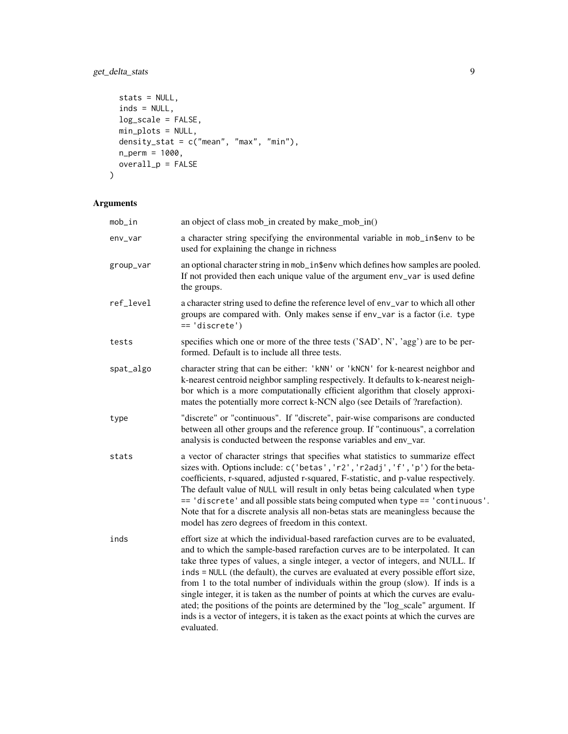# get\_delta\_stats 9

```
stats = NULL,
 inds = NULL,
 log_scale = FALSE,
 min_plots = NULL,
 density_stat = c("mean", "max", "min"),n_perm = 1000,
 overall_p = FALSE
\mathcal{L}
```

| mob_in    | an object of class mob_in created by make_mob_in()                                                                                                                                                                                                                                                                                                                                                                                                                                                                                                                                                                                                                                                                 |
|-----------|--------------------------------------------------------------------------------------------------------------------------------------------------------------------------------------------------------------------------------------------------------------------------------------------------------------------------------------------------------------------------------------------------------------------------------------------------------------------------------------------------------------------------------------------------------------------------------------------------------------------------------------------------------------------------------------------------------------------|
| env_var   | a character string specifying the environmental variable in mob_in\$env to be<br>used for explaining the change in richness                                                                                                                                                                                                                                                                                                                                                                                                                                                                                                                                                                                        |
| group_var | an optional character string in mob_in\$env which defines how samples are pooled.<br>If not provided then each unique value of the argument env_var is used define<br>the groups.                                                                                                                                                                                                                                                                                                                                                                                                                                                                                                                                  |
| ref_level | a character string used to define the reference level of env_var to which all other<br>groups are compared with. Only makes sense if env_var is a factor (i.e. type<br>$== 'discrete')$                                                                                                                                                                                                                                                                                                                                                                                                                                                                                                                            |
| tests     | specifies which one or more of the three tests ('SAD', N', 'agg') are to be per-<br>formed. Default is to include all three tests.                                                                                                                                                                                                                                                                                                                                                                                                                                                                                                                                                                                 |
| spat_algo | character string that can be either: 'kNN' or 'kNCN' for k-nearest neighbor and<br>k-nearest centroid neighbor sampling respectively. It defaults to k-nearest neigh-<br>bor which is a more computationally efficient algorithm that closely approxi-<br>mates the potentially more correct k-NCN algo (see Details of ?rarefaction).                                                                                                                                                                                                                                                                                                                                                                             |
| type      | "discrete" or "continuous". If "discrete", pair-wise comparisons are conducted<br>between all other groups and the reference group. If "continuous", a correlation<br>analysis is conducted between the response variables and env_var.                                                                                                                                                                                                                                                                                                                                                                                                                                                                            |
| stats     | a vector of character strings that specifies what statistics to summarize effect<br>sizes with. Options include: c('betas', 'r2', 'r2adj', 'f', 'p') for the beta-<br>coefficients, r-squared, adjusted r-squared, F-statistic, and p-value respectively.<br>The default value of NULL will result in only betas being calculated when type<br>== 'discrete' and all possible stats being computed when type == 'continuous'.<br>Note that for a discrete analysis all non-betas stats are meaningless because the<br>model has zero degrees of freedom in this context.                                                                                                                                           |
| inds      | effort size at which the individual-based rarefaction curves are to be evaluated,<br>and to which the sample-based rarefaction curves are to be interpolated. It can<br>take three types of values, a single integer, a vector of integers, and NULL. If<br>inds = NULL (the default), the curves are evaluated at every possible effort size,<br>from 1 to the total number of individuals within the group (slow). If inds is a<br>single integer, it is taken as the number of points at which the curves are evalu-<br>ated; the positions of the points are determined by the "log_scale" argument. If<br>inds is a vector of integers, it is taken as the exact points at which the curves are<br>evaluated. |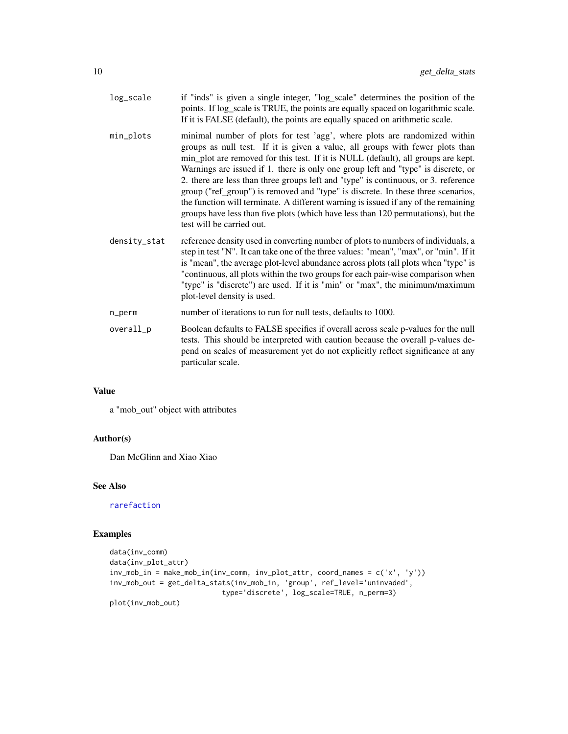<span id="page-9-0"></span>

| log_scale    | if "inds" is given a single integer, "log_scale" determines the position of the<br>points. If log_scale is TRUE, the points are equally spaced on logarithmic scale.<br>If it is FALSE (default), the points are equally spaced on arithmetic scale.                                                                                                                                                                                                                                                                                                                                                                                                                                                                   |
|--------------|------------------------------------------------------------------------------------------------------------------------------------------------------------------------------------------------------------------------------------------------------------------------------------------------------------------------------------------------------------------------------------------------------------------------------------------------------------------------------------------------------------------------------------------------------------------------------------------------------------------------------------------------------------------------------------------------------------------------|
| min_plots    | minimal number of plots for test 'agg', where plots are randomized within<br>groups as null test. If it is given a value, all groups with fewer plots than<br>min_plot are removed for this test. If it is NULL (default), all groups are kept.<br>Warnings are issued if 1. there is only one group left and "type" is discrete, or<br>2. there are less than three groups left and "type" is continuous, or 3. reference<br>group ("ref_group") is removed and "type" is discrete. In these three scenarios,<br>the function will terminate. A different warning is issued if any of the remaining<br>groups have less than five plots (which have less than 120 permutations), but the<br>test will be carried out. |
| density_stat | reference density used in converting number of plots to numbers of individuals, a<br>step in test "N". It can take one of the three values: "mean", "max", or "min". If it<br>is "mean", the average plot-level abundance across plots (all plots when "type" is<br>"continuous, all plots within the two groups for each pair-wise comparison when<br>"type" is "discrete") are used. If it is "min" or "max", the minimum/maximum<br>plot-level density is used.                                                                                                                                                                                                                                                     |
| n_perm       | number of iterations to run for null tests, defaults to 1000.                                                                                                                                                                                                                                                                                                                                                                                                                                                                                                                                                                                                                                                          |
| overall_p    | Boolean defaults to FALSE specifies if overall across scale p-values for the null<br>tests. This should be interpreted with caution because the overall p-values de-<br>pend on scales of measurement yet do not explicitly reflect significance at any<br>particular scale.                                                                                                                                                                                                                                                                                                                                                                                                                                           |
|              |                                                                                                                                                                                                                                                                                                                                                                                                                                                                                                                                                                                                                                                                                                                        |

# Value

a "mob\_out" object with attributes

# Author(s)

Dan McGlinn and Xiao Xiao

# See Also

[rarefaction](#page-25-1)

# Examples

```
data(inv_comm)
data(inv_plot_attr)
inv_mob_in = make_mob_in(inv_comm, inv_plot_attr, coord_names = c('x', 'y'))
inv_mob_out = get_delta_stats(inv_mob_in, 'group', ref_level='uninvaded',
                           type='discrete', log_scale=TRUE, n_perm=3)
plot(inv_mob_out)
```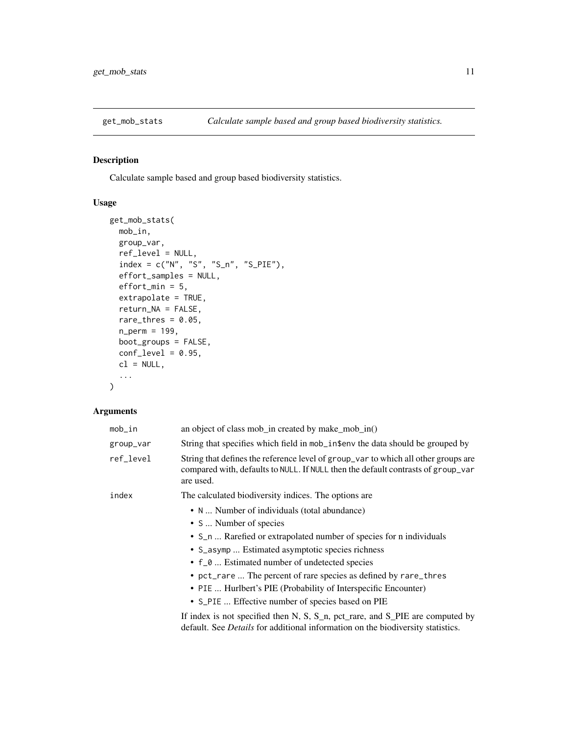<span id="page-10-1"></span><span id="page-10-0"></span>

# Description

Calculate sample based and group based biodiversity statistics.

## Usage

```
get_mob_stats(
 mob_in,
 group_var,
 ref_level = NULL,
 index = c("N", "S", "S_n", "S_PIE"),effort_samples = NULL,
 effort\_min = 5,
  extrapolate = TRUE,
  return_NA = FALSE,
 rare_thres = 0.05,
 n_perm = 199,
 boot_groups = FALSE,
 conf\_level = 0.95,
 cl = NULL,...
)
```

| mob_in    | an object of class mob_in created by make_mob_in()                                                                                                                                  |
|-----------|-------------------------------------------------------------------------------------------------------------------------------------------------------------------------------------|
| group_var | String that specifies which field in mob_in\$env the data should be grouped by                                                                                                      |
| ref_level | String that defines the reference level of group_var to which all other groups are<br>compared with, defaults to NULL. If NULL then the default contrasts of group_var<br>are used. |
| index     | The calculated biodiversity indices. The options are                                                                                                                                |
|           | • N  Number of individuals (total abundance)                                                                                                                                        |
|           | • S  Number of species                                                                                                                                                              |
|           | • S_n  Rarefied or extrapolated number of species for n individuals                                                                                                                 |
|           | • S_asymp  Estimated asymptotic species richness                                                                                                                                    |
|           | • f_0  Estimated number of undetected species                                                                                                                                       |
|           | • pct_rare  The percent of rare species as defined by rare_thres                                                                                                                    |
|           | • PIE  Hurlbert's PIE (Probability of Interspecific Encounter)                                                                                                                      |
|           | • S_PIE  Effective number of species based on PIE                                                                                                                                   |
|           | If index is not specified then N, S, $S_n$ , pct_rare, and $S_P$ IE are computed by<br>default. See <i>Details</i> for additional information on the biodiversity statistics.       |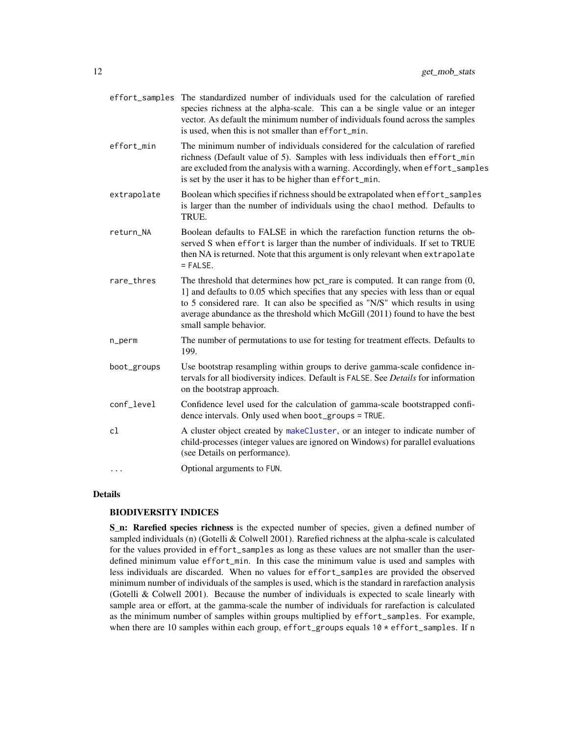<span id="page-11-0"></span>

|             | effort_samples The standardized number of individuals used for the calculation of rarefied<br>species richness at the alpha-scale. This can a be single value or an integer<br>vector. As default the minimum number of individuals found across the samples<br>is used, when this is not smaller than effort_min.                                             |
|-------------|----------------------------------------------------------------------------------------------------------------------------------------------------------------------------------------------------------------------------------------------------------------------------------------------------------------------------------------------------------------|
| effort_min  | The minimum number of individuals considered for the calculation of rarefied<br>richness (Default value of 5). Samples with less individuals then effort_min<br>are excluded from the analysis with a warning. Accordingly, when effort_samples<br>is set by the user it has to be higher than effort_min.                                                     |
| extrapolate | Boolean which specifies if richness should be extrapolated when effort_samples<br>is larger than the number of individuals using the chao1 method. Defaults to<br>TRUE.                                                                                                                                                                                        |
| return_NA   | Boolean defaults to FALSE in which the rarefaction function returns the ob-<br>served S when effort is larger than the number of individuals. If set to TRUE<br>then NA is returned. Note that this argument is only relevant when extrapolate<br>$=$ FALSE.                                                                                                   |
| rare_thres  | The threshold that determines how pct_rare is computed. It can range from (0,<br>1] and defaults to 0.05 which specifies that any species with less than or equal<br>to 5 considered rare. It can also be specified as "N/S" which results in using<br>average abundance as the threshold which McGill (2011) found to have the best<br>small sample behavior. |
| n_perm      | The number of permutations to use for testing for treatment effects. Defaults to<br>199.                                                                                                                                                                                                                                                                       |
| boot_groups | Use bootstrap resampling within groups to derive gamma-scale confidence in-<br>tervals for all biodiversity indices. Default is FALSE. See Details for information<br>on the bootstrap approach.                                                                                                                                                               |
| conf_level  | Confidence level used for the calculation of gamma-scale bootstrapped confi-<br>dence intervals. Only used when boot_groups = TRUE.                                                                                                                                                                                                                            |
| cl          | A cluster object created by makeCluster, or an integer to indicate number of<br>child-processes (integer values are ignored on Windows) for parallel evaluations<br>(see Details on performance).                                                                                                                                                              |
| $\cdots$    | Optional arguments to FUN.                                                                                                                                                                                                                                                                                                                                     |
|             |                                                                                                                                                                                                                                                                                                                                                                |

# Details

# BIODIVERSITY INDICES

S\_n: Rarefied species richness is the expected number of species, given a defined number of sampled individuals (n) (Gotelli & Colwell 2001). Rarefied richness at the alpha-scale is calculated for the values provided in effort\_samples as long as these values are not smaller than the userdefined minimum value effort\_min. In this case the minimum value is used and samples with less individuals are discarded. When no values for effort\_samples are provided the observed minimum number of individuals of the samples is used, which is the standard in rarefaction analysis (Gotelli & Colwell 2001). Because the number of individuals is expected to scale linearly with sample area or effort, at the gamma-scale the number of individuals for rarefaction is calculated as the minimum number of samples within groups multiplied by effort\_samples. For example, when there are 10 samples within each group, effort\_groups equals  $10 *$  effort\_samples. If n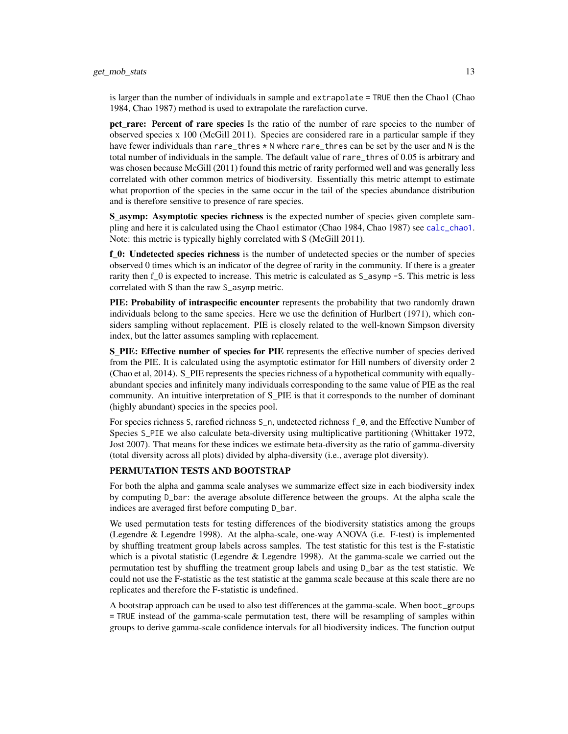<span id="page-12-0"></span>is larger than the number of individuals in sample and extrapolate = TRUE then the Chao1 (Chao 1984, Chao 1987) method is used to extrapolate the rarefaction curve.

pct rare: Percent of rare species Is the ratio of the number of rare species to the number of observed species x 100 (McGill 2011). Species are considered rare in a particular sample if they have fewer individuals than rare\_thres \* N where rare\_thres can be set by the user and N is the total number of individuals in the sample. The default value of rare\_thres of 0.05 is arbitrary and was chosen because McGill (2011) found this metric of rarity performed well and was generally less correlated with other common metrics of biodiversity. Essentially this metric attempt to estimate what proportion of the species in the same occur in the tail of the species abundance distribution and is therefore sensitive to presence of rare species.

S asymp: Asymptotic species richness is the expected number of species given complete sampling and here it is calculated using the Chao1 estimator (Chao 1984, Chao 1987) see [calc\\_chao1](#page-4-1). Note: this metric is typically highly correlated with S (McGill 2011).

f 0: Undetected species richness is the number of undetected species or the number of species observed 0 times which is an indicator of the degree of rarity in the community. If there is a greater rarity then f\_0 is expected to increase. This metric is calculated as  $S_$ \_asymp -S. This metric is less correlated with S than the raw S\_asymp metric.

PIE: Probability of intraspecific encounter represents the probability that two randomly drawn individuals belong to the same species. Here we use the definition of Hurlbert (1971), which considers sampling without replacement. PIE is closely related to the well-known Simpson diversity index, but the latter assumes sampling with replacement.

S\_PIE: Effective number of species for PIE represents the effective number of species derived from the PIE. It is calculated using the asymptotic estimator for Hill numbers of diversity order 2 (Chao et al, 2014). S\_PIE represents the species richness of a hypothetical community with equallyabundant species and infinitely many individuals corresponding to the same value of PIE as the real community. An intuitive interpretation of S\_PIE is that it corresponds to the number of dominant (highly abundant) species in the species pool.

For species richness S, rarefied richness S\_n, undetected richness f\_0, and the Effective Number of Species S\_PIE we also calculate beta-diversity using multiplicative partitioning (Whittaker 1972, Jost 2007). That means for these indices we estimate beta-diversity as the ratio of gamma-diversity (total diversity across all plots) divided by alpha-diversity (i.e., average plot diversity).

# PERMUTATION TESTS AND BOOTSTRAP

For both the alpha and gamma scale analyses we summarize effect size in each biodiversity index by computing D\_bar: the average absolute difference between the groups. At the alpha scale the indices are averaged first before computing D\_bar.

We used permutation tests for testing differences of the biodiversity statistics among the groups (Legendre & Legendre 1998). At the alpha-scale, one-way ANOVA (i.e. F-test) is implemented by shuffling treatment group labels across samples. The test statistic for this test is the F-statistic which is a pivotal statistic (Legendre  $\&$  Legendre 1998). At the gamma-scale we carried out the permutation test by shuffling the treatment group labels and using D\_bar as the test statistic. We could not use the F-statistic as the test statistic at the gamma scale because at this scale there are no replicates and therefore the F-statistic is undefined.

A bootstrap approach can be used to also test differences at the gamma-scale. When boot\_groups = TRUE instead of the gamma-scale permutation test, there will be resampling of samples within groups to derive gamma-scale confidence intervals for all biodiversity indices. The function output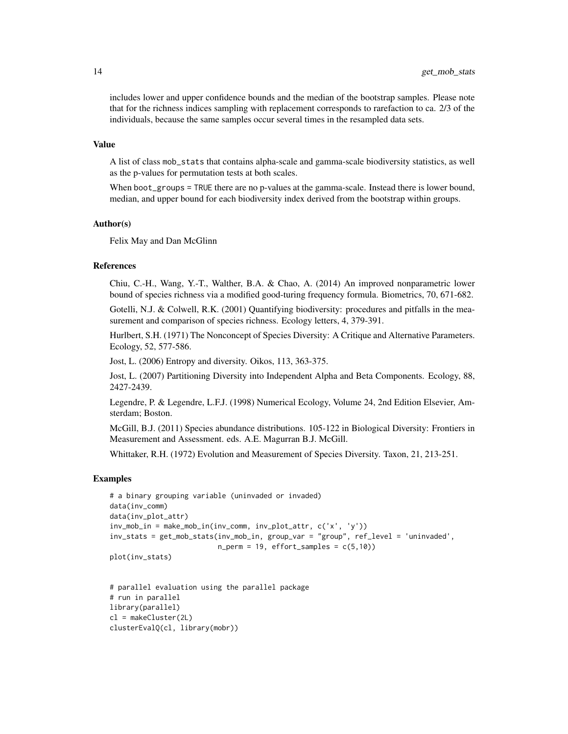includes lower and upper confidence bounds and the median of the bootstrap samples. Please note that for the richness indices sampling with replacement corresponds to rarefaction to ca. 2/3 of the individuals, because the same samples occur several times in the resampled data sets.

#### Value

A list of class mob\_stats that contains alpha-scale and gamma-scale biodiversity statistics, as well as the p-values for permutation tests at both scales.

When boot\_groups = TRUE there are no p-values at the gamma-scale. Instead there is lower bound, median, and upper bound for each biodiversity index derived from the bootstrap within groups.

# Author(s)

Felix May and Dan McGlinn

## References

Chiu, C.-H., Wang, Y.-T., Walther, B.A. & Chao, A. (2014) An improved nonparametric lower bound of species richness via a modified good-turing frequency formula. Biometrics, 70, 671-682.

Gotelli, N.J. & Colwell, R.K. (2001) Quantifying biodiversity: procedures and pitfalls in the measurement and comparison of species richness. Ecology letters, 4, 379-391.

Hurlbert, S.H. (1971) The Nonconcept of Species Diversity: A Critique and Alternative Parameters. Ecology, 52, 577-586.

Jost, L. (2006) Entropy and diversity. Oikos, 113, 363-375.

Jost, L. (2007) Partitioning Diversity into Independent Alpha and Beta Components. Ecology, 88, 2427-2439.

Legendre, P. & Legendre, L.F.J. (1998) Numerical Ecology, Volume 24, 2nd Edition Elsevier, Amsterdam; Boston.

McGill, B.J. (2011) Species abundance distributions. 105-122 in Biological Diversity: Frontiers in Measurement and Assessment. eds. A.E. Magurran B.J. McGill.

Whittaker, R.H. (1972) Evolution and Measurement of Species Diversity. Taxon, 21, 213-251.

#### Examples

```
# a binary grouping variable (uninvaded or invaded)
data(inv_comm)
data(inv_plot_attr)
inv_{m}ob_in = make_mob_in(inv_comm, inv_plot_attr, c('x', 'y'))
inv_stats = get_mob_stats(inv_mob_in, group_var = "group", ref_level = 'uninvaded',
                          n_{perm} = 19, effort_samples = c(5,10))
plot(inv_stats)
```

```
# parallel evaluation using the parallel package
# run in parallel
library(parallel)
cl = makeCluster(2L)
clusterEvalQ(cl, library(mobr))
```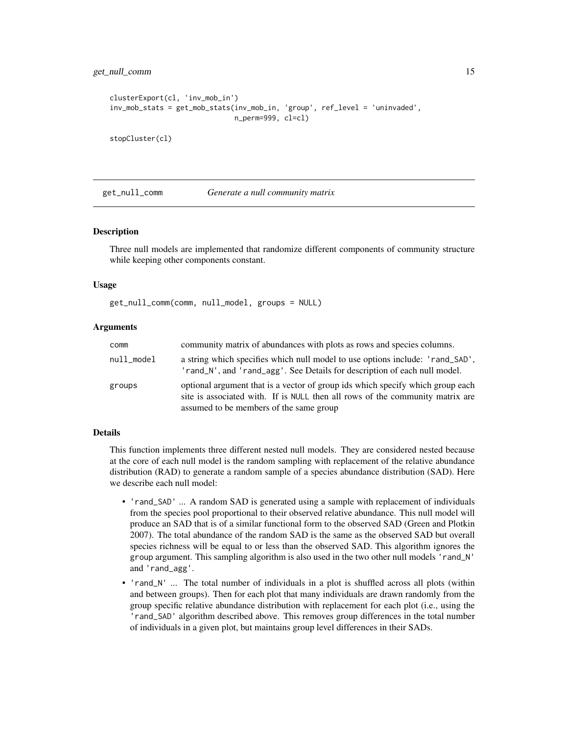```
clusterExport(cl, 'inv_mob_in')
inv_mob_stats = get_mob_stats(inv_mob_in, 'group', ref_level = 'uninvaded',
                              n_perm=999, cl=cl)
```
stopCluster(cl)

get\_null\_comm *Generate a null community matrix*

#### **Description**

Three null models are implemented that randomize different components of community structure while keeping other components constant.

#### Usage

get\_null\_comm(comm, null\_model, groups = NULL)

# Arguments

| comm       | community matrix of abundances with plots as rows and species columns.                                                                                                                                     |
|------------|------------------------------------------------------------------------------------------------------------------------------------------------------------------------------------------------------------|
| null model | a string which specifies which null model to use options include: 'rand_SAD',<br>'rand_N', and 'rand_agg'. See Details for description of each null model.                                                 |
| groups     | optional argument that is a vector of group ids which specify which group each<br>site is associated with. If is NULL then all rows of the community matrix are<br>assumed to be members of the same group |

# Details

This function implements three different nested null models. They are considered nested because at the core of each null model is the random sampling with replacement of the relative abundance distribution (RAD) to generate a random sample of a species abundance distribution (SAD). Here we describe each null model:

- 'rand\_SAD' ... A random SAD is generated using a sample with replacement of individuals from the species pool proportional to their observed relative abundance. This null model will produce an SAD that is of a similar functional form to the observed SAD (Green and Plotkin 2007). The total abundance of the random SAD is the same as the observed SAD but overall species richness will be equal to or less than the observed SAD. This algorithm ignores the group argument. This sampling algorithm is also used in the two other null models 'rand\_N' and 'rand\_agg'.
- 'rand\_N' ... The total number of individuals in a plot is shuffled across all plots (within and between groups). Then for each plot that many individuals are drawn randomly from the group specific relative abundance distribution with replacement for each plot (i.e., using the 'rand\_SAD' algorithm described above. This removes group differences in the total number of individuals in a given plot, but maintains group level differences in their SADs.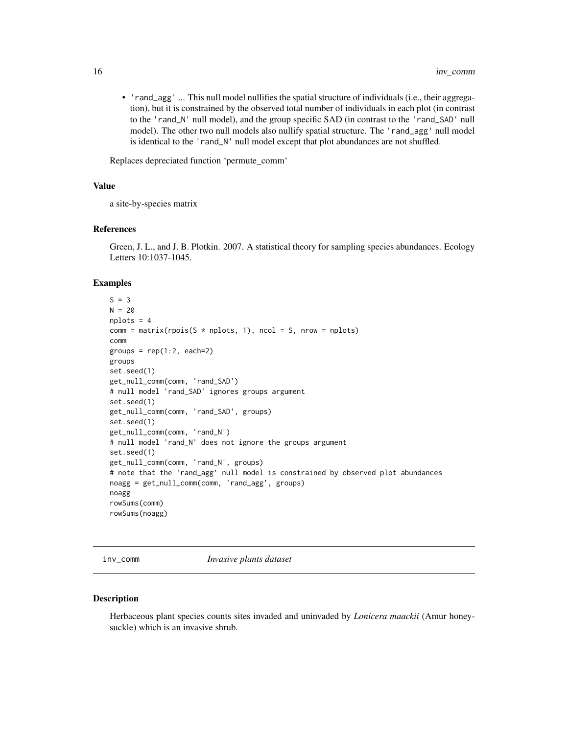<span id="page-15-0"></span>• 'rand\_agg' ... This null model nullifies the spatial structure of individuals (i.e., their aggregation), but it is constrained by the observed total number of individuals in each plot (in contrast to the 'rand\_N' null model), and the group specific SAD (in contrast to the 'rand\_SAD' null model). The other two null models also nullify spatial structure. The 'rand\_agg' null model is identical to the 'rand\_N' null model except that plot abundances are not shuffled.

Replaces depreciated function 'permute\_comm'

#### Value

a site-by-species matrix

#### References

Green, J. L., and J. B. Plotkin. 2007. A statistical theory for sampling species abundances. Ecology Letters 10:1037-1045.

#### Examples

```
S = 3N = 20nplots = 4
comm = matrix( \text{rpois}(S * \text{ nplots}, 1), \text{ ncol} = S, \text{ nrow} = \text{ nplots})comm
groups = rep(1:2, each=2)groups
set.seed(1)
get_null_comm(comm, 'rand_SAD')
# null model 'rand_SAD' ignores groups argument
set.seed(1)
get_null_comm(comm, 'rand_SAD', groups)
set.seed(1)
get_null_comm(comm, 'rand_N')
# null model 'rand_N' does not ignore the groups argument
set.seed(1)
get_null_comm(comm, 'rand_N', groups)
# note that the 'rand_agg' null model is constrained by observed plot abundances
noagg = get_null_comm(comm, 'rand_agg', groups)
noagg
rowSums(comm)
rowSums(noagg)
```
inv\_comm *Invasive plants dataset*

#### Description

Herbaceous plant species counts sites invaded and uninvaded by *Lonicera maackii* (Amur honeysuckle) which is an invasive shrub.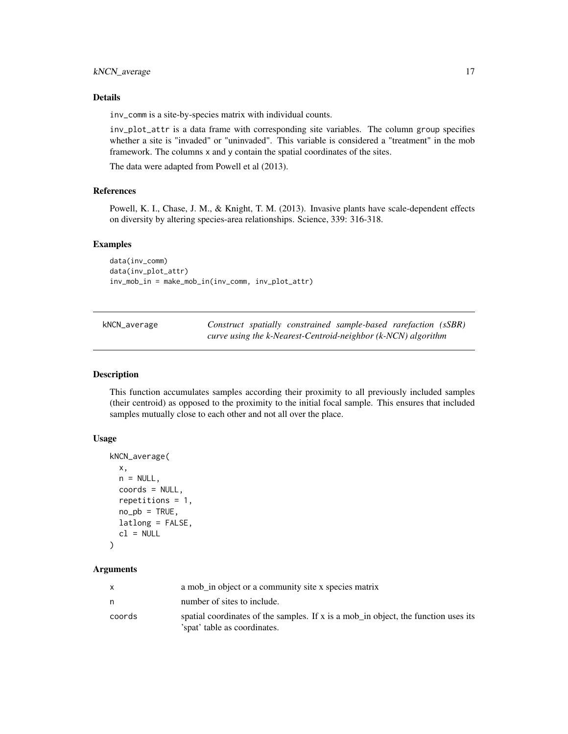# <span id="page-16-0"></span>kNCN\_average 17

# Details

inv\_comm is a site-by-species matrix with individual counts.

inv\_plot\_attr is a data frame with corresponding site variables. The column group specifies whether a site is "invaded" or "uninvaded". This variable is considered a "treatment" in the mob framework. The columns x and y contain the spatial coordinates of the sites.

The data were adapted from Powell et al (2013).

#### References

Powell, K. I., Chase, J. M., & Knight, T. M. (2013). Invasive plants have scale-dependent effects on diversity by altering species-area relationships. Science, 339: 316-318.

# Examples

```
data(inv_comm)
data(inv_plot_attr)
inv_mob_in = make_mob_in(inv_comm, inv_plot_attr)
```

| kNCN_average |  | Construct spatially constrained sample-based rarefaction (sSBR)     |  |
|--------------|--|---------------------------------------------------------------------|--|
|              |  | curve using the $k$ -Nearest-Centroid-neighbor $(k$ -NCN) algorithm |  |

#### Description

This function accumulates samples according their proximity to all previously included samples (their centroid) as opposed to the proximity to the initial focal sample. This ensures that included samples mutually close to each other and not all over the place.

# Usage

```
kNCN_average(
  x,
  n = NULL,coords = NULL,
  repetitions = 1,
 no\_pb = TRUE,
 latlong = FALSE,
  cl = NULL)
```

|        | a mob in object or a community site x species matrix                                                               |
|--------|--------------------------------------------------------------------------------------------------------------------|
|        | number of sites to include.                                                                                        |
| coords | spatial coordinates of the samples. If x is a mob_in object, the function uses its<br>'spat' table as coordinates. |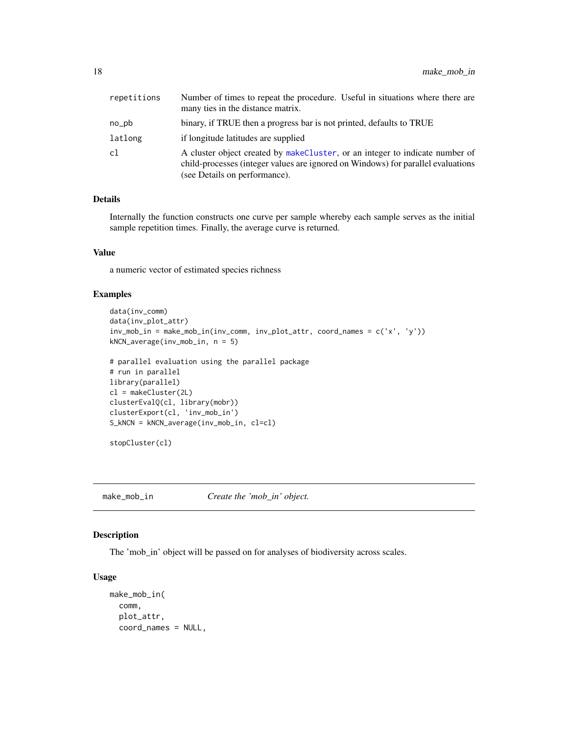<span id="page-17-0"></span>

| repetitions | Number of times to repeat the procedure. Useful in situations where there are<br>many ties in the distance matrix.                                                                                |
|-------------|---------------------------------------------------------------------------------------------------------------------------------------------------------------------------------------------------|
| no_pb       | binary, if TRUE then a progress bar is not printed, defaults to TRUE                                                                                                                              |
| latlong     | if longitude latitudes are supplied                                                                                                                                                               |
| cl          | A cluster object created by makeCluster, or an integer to indicate number of<br>child-processes (integer values are ignored on Windows) for parallel evaluations<br>(see Details on performance). |

# Details

Internally the function constructs one curve per sample whereby each sample serves as the initial sample repetition times. Finally, the average curve is returned.

# Value

a numeric vector of estimated species richness

## Examples

```
data(inv_comm)
data(inv_plot_attr)
inv_mob_in = make_mob_in(inv_comm, inv_plot_attr, coord_names = c('x', 'y'))
kNCN_average(inv_mob_in, n = 5)
```

```
# parallel evaluation using the parallel package
# run in parallel
library(parallel)
cl = makeCluster(2L)
clusterEvalQ(cl, library(mobr))
clusterExport(cl, 'inv_mob_in')
S_kNCN = kNCN_average(inv_mob_in, cl=cl)
```

```
stopCluster(cl)
```
<span id="page-17-1"></span>make\_mob\_in *Create the 'mob\_in' object.*

# Description

The 'mob\_in' object will be passed on for analyses of biodiversity across scales.

# Usage

```
make_mob_in(
  comm,
  plot_attr,
  coord_names = NULL,
```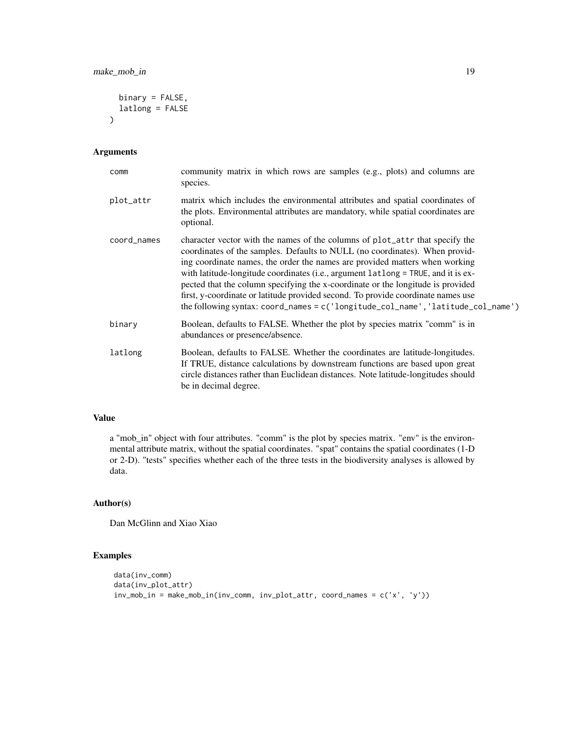```
binary = FALSE,
  latlong = FALSE
\mathcal{L}
```
# Arguments

| comm        | community matrix in which rows are samples (e.g., plots) and columns are<br>species.                                                                                                                                                                                                                                                                                                                                                                                                                                                                                                         |
|-------------|----------------------------------------------------------------------------------------------------------------------------------------------------------------------------------------------------------------------------------------------------------------------------------------------------------------------------------------------------------------------------------------------------------------------------------------------------------------------------------------------------------------------------------------------------------------------------------------------|
| plot_attr   | matrix which includes the environmental attributes and spatial coordinates of<br>the plots. Environmental attributes are mandatory, while spatial coordinates are<br>optional.                                                                                                                                                                                                                                                                                                                                                                                                               |
| coord_names | character vector with the names of the columns of plot_attr that specify the<br>coordinates of the samples. Defaults to NULL (no coordinates). When provid-<br>ing coordinate names, the order the names are provided matters when working<br>with latitude-longitude coordinates (i.e., argument latlong = TRUE, and it is ex-<br>pected that the column specifying the x-coordinate or the longitude is provided<br>first, y-coordinate or latitude provided second. To provide coordinate names use<br>the following syntax: $coord_names = c('longitude_col_name', 'latitude_col_name')$ |
| binary      | Boolean, defaults to FALSE. Whether the plot by species matrix "comm" is in<br>abundances or presence/absence.                                                                                                                                                                                                                                                                                                                                                                                                                                                                               |
| latlong     | Boolean, defaults to FALSE. Whether the coordinates are latitude-longitudes.<br>If TRUE, distance calculations by downstream functions are based upon great<br>circle distances rather than Euclidean distances. Note latitude-longitudes should<br>be in decimal degree.                                                                                                                                                                                                                                                                                                                    |

# Value

a "mob\_in" object with four attributes. "comm" is the plot by species matrix. "env" is the environmental attribute matrix, without the spatial coordinates. "spat" contains the spatial coordinates (1-D or 2-D). "tests" specifies whether each of the three tests in the biodiversity analyses is allowed by data.

# Author(s)

Dan McGlinn and Xiao Xiao

# Examples

```
data(inv_comm)
data(inv_plot_attr)
inv_mob_in = make_mob_in(inv_comm, inv_plot_attr, coord_names = c('x', 'y'))
```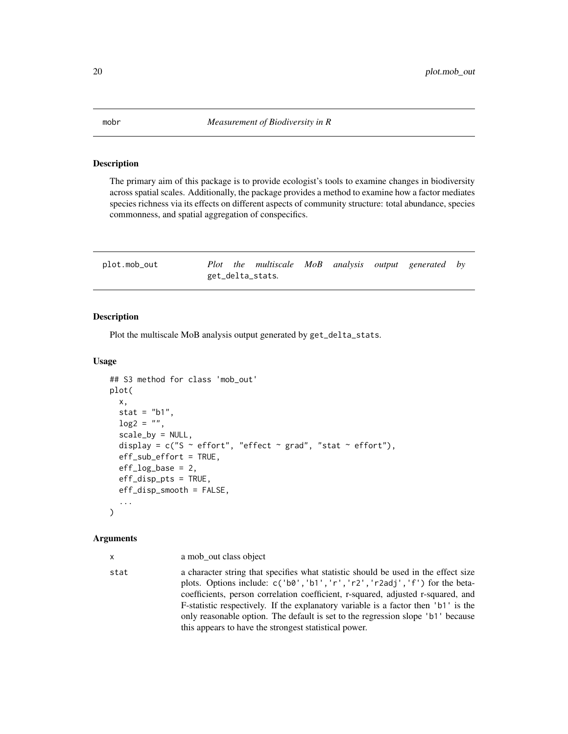# **Description**

The primary aim of this package is to provide ecologist's tools to examine changes in biodiversity across spatial scales. Additionally, the package provides a method to examine how a factor mediates species richness via its effects on different aspects of community structure: total abundance, species commonness, and spatial aggregation of conspecifics.

| plot.mob_out |  | Plot the multiscale MoB analysis output generated by |  |  |  |
|--------------|--|------------------------------------------------------|--|--|--|
|              |  | get_delta_stats.                                     |  |  |  |

# Description

Plot the multiscale MoB analysis output generated by get\_delta\_stats.

# Usage

```
## S3 method for class 'mob_out'
plot(
  x,
  stat = "b1",\log 2 = "",scale_by = NULL,display = c("S ~ effort", "effect ~ grad", "stat ~ effort"),eff_sub_effort = TRUE,
  eff\_log\_base = 2,
  eff_disp_pts = TRUE,
  eff_disp_smooth = FALSE,
  ...
)
```
#### Arguments

|  | a mob_out class object |
|--|------------------------|

stat a character string that specifies what statistic should be used in the effect size plots. Options include: c('b0','b1','r','r2','r2adj','f') for the betacoefficients, person correlation coefficient, r-squared, adjusted r-squared, and F-statistic respectively. If the explanatory variable is a factor then 'b1' is the only reasonable option. The default is set to the regression slope 'b1' because this appears to have the strongest statistical power.

<span id="page-19-0"></span>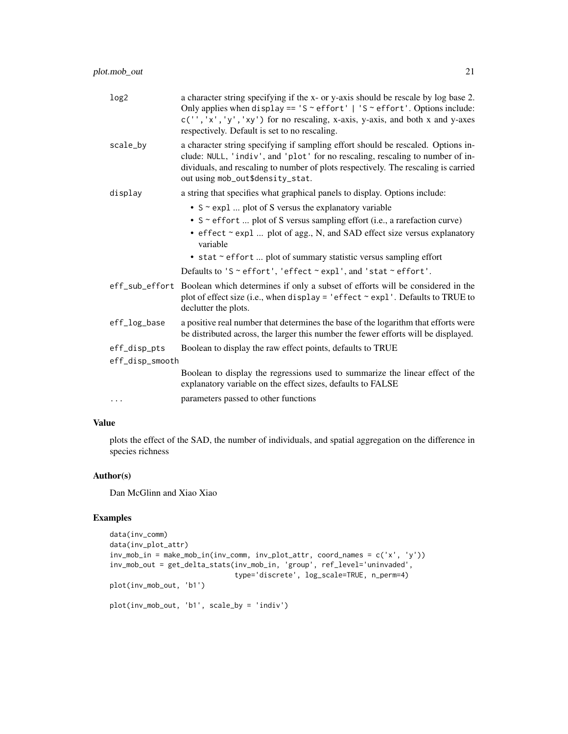| log2            | a character string specifying if the x- or y-axis should be rescale by log base 2.<br>Only applies when display == $'S \sim \text{effort}$   'S $\sim$ effort'. Options include:<br>$c('', 'x', 'y', 'xy')$ for no rescaling, x-axis, y-axis, and both x and y-axes<br>respectively. Default is set to no rescaling. |
|-----------------|----------------------------------------------------------------------------------------------------------------------------------------------------------------------------------------------------------------------------------------------------------------------------------------------------------------------|
| scale_by        | a character string specifying if sampling effort should be rescaled. Options in-<br>clude: NULL, 'indiv', and 'plot' for no rescaling, rescaling to number of in-<br>dividuals, and rescaling to number of plots respectively. The rescaling is carried<br>out using mob_out\$density_stat.                          |
| display         | a string that specifies what graphical panels to display. Options include:                                                                                                                                                                                                                                           |
|                 | • S ~ expl  plot of S versus the explanatory variable                                                                                                                                                                                                                                                                |
|                 | • S ~ effort  plot of S versus sampling effort (i.e., a rarefaction curve)                                                                                                                                                                                                                                           |
|                 | • effect ~ expl  plot of agg., N, and SAD effect size versus explanatory<br>variable                                                                                                                                                                                                                                 |
|                 | • stat ~ effort  plot of summary statistic versus sampling effort                                                                                                                                                                                                                                                    |
|                 | Defaults to 'S ~ effort', 'effect ~ expl', and 'stat ~ effort'.                                                                                                                                                                                                                                                      |
|                 | eff_sub_effort Boolean which determines if only a subset of efforts will be considered in the<br>plot of effect size (i.e., when display = 'effect $\sim$ expl'. Defaults to TRUE to<br>declutter the plots.                                                                                                         |
| eff_log_base    | a positive real number that determines the base of the logarithm that efforts were<br>be distributed across, the larger this number the fewer efforts will be displayed.                                                                                                                                             |
| eff_disp_pts    | Boolean to display the raw effect points, defaults to TRUE                                                                                                                                                                                                                                                           |
| eff_disp_smooth |                                                                                                                                                                                                                                                                                                                      |
|                 | Boolean to display the regressions used to summarize the linear effect of the<br>explanatory variable on the effect sizes, defaults to FALSE                                                                                                                                                                         |
| $\cdots$        | parameters passed to other functions                                                                                                                                                                                                                                                                                 |

# Value

plots the effect of the SAD, the number of individuals, and spatial aggregation on the difference in species richness

# Author(s)

Dan McGlinn and Xiao Xiao

# Examples

```
data(inv_comm)
data(inv_plot_attr)
inv_mob_in = make_mob_in(inv_comm, inv_plot_attr, coord_names = c('x', 'y'))
inv_mob_out = get_delta_stats(inv_mob_in, 'group', ref_level='uninvaded',
                             type='discrete', log_scale=TRUE, n_perm=4)
plot(inv_mob_out, 'b1')
plot(inv_mob_out, 'b1', scale_by = 'indiv')
```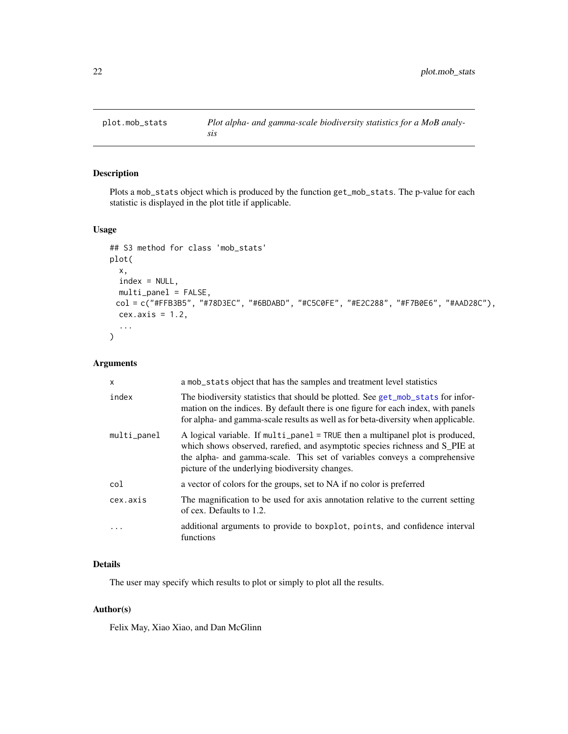<span id="page-21-0"></span>

# Description

Plots a mob\_stats object which is produced by the function get\_mob\_stats. The p-value for each statistic is displayed in the plot title if applicable.

# Usage

```
## S3 method for class 'mob_stats'
plot(
 x,
 index = NULL,
 multi_panel = FALSE,
 col = c("#FFB3B5", "#78D3EC", "#6BDABD", "#C5C0FE", "#E2C288", "#F7B0E6", "#AAD28C"),
 cex. axis = 1.2,...
)
```
# Arguments

| $\mathsf{x}$   | a mob_stats object that has the samples and treatment level statistics                                                                                                                                                                                                                        |
|----------------|-----------------------------------------------------------------------------------------------------------------------------------------------------------------------------------------------------------------------------------------------------------------------------------------------|
| index          | The biodiversity statistics that should be plotted. See get_mob_stats for infor-<br>mation on the indices. By default there is one figure for each index, with panels<br>for alpha- and gamma-scale results as well as for beta-diversity when applicable.                                    |
| $multi\_panel$ | A logical variable. If multi_panel = TRUE then a multipanel plot is produced,<br>which shows observed, rarefied, and asymptotic species richness and S_PIE at<br>the alpha- and gamma-scale. This set of variables conveys a comprehensive<br>picture of the underlying biodiversity changes. |
| col            | a vector of colors for the groups, set to NA if no color is preferred                                                                                                                                                                                                                         |
| cex.axis       | The magnification to be used for axis annotation relative to the current setting<br>of cex. Defaults to 1.2.                                                                                                                                                                                  |
| $\ddotsc$      | additional arguments to provide to boxplot, points, and confidence interval<br>functions                                                                                                                                                                                                      |

# Details

The user may specify which results to plot or simply to plot all the results.

#### Author(s)

Felix May, Xiao Xiao, and Dan McGlinn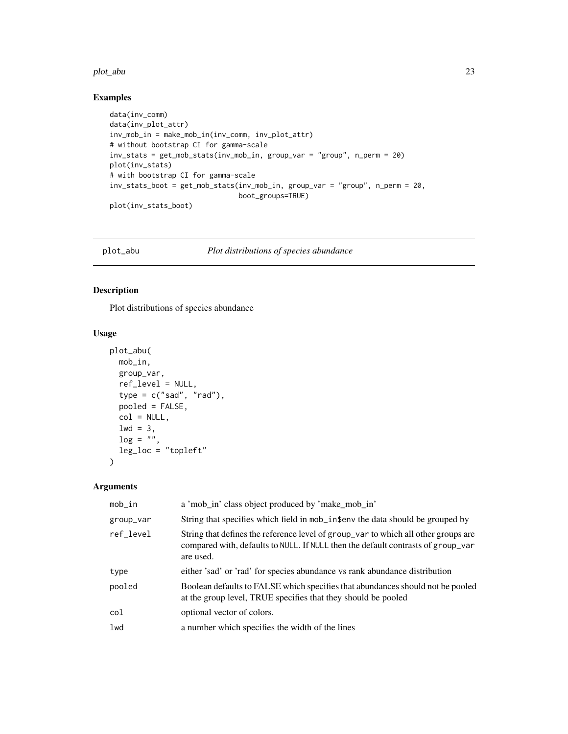#### <span id="page-22-0"></span>plot\_abu 23

# Examples

```
data(inv_comm)
data(inv_plot_attr)
inv_mob_in = make_mob_in(inv_comm, inv_plot_attr)
# without bootstrap CI for gamma-scale
inv_stats = get_mob_stats(inv_mob_in, group_var = "group", n_perm = 20)
plot(inv_stats)
# with bootstrap CI for gamma-scale
inv_stats_boot = get_mob_stats(inv_mob_in, group_var = "group", n_perm = 20,
                               boot_groups=TRUE)
plot(inv_stats_boot)
```
plot\_abu *Plot distributions of species abundance*

# Description

Plot distributions of species abundance

# Usage

```
plot_abu(
 mob_in,
  group_var,
 ref_level = NULL,
  type = c("sad", "rad"),
 pooled = FALSE,
 col = NULL,1wd = 3,\log = \sqrt[n]{n},
  leg_loc = "topleft"
)
```

| $mob_in$  | a 'mob_in' class object produced by 'make_mob_in'                                                                                                                                   |
|-----------|-------------------------------------------------------------------------------------------------------------------------------------------------------------------------------------|
| group_var | String that specifies which field in mob_in\$env the data should be grouped by                                                                                                      |
| ref level | String that defines the reference level of group_var to which all other groups are<br>compared with, defaults to NULL. If NULL then the default contrasts of group_var<br>are used. |
| type      | either 'sad' or 'rad' for species abundance vs rank abundance distribution                                                                                                          |
| pooled    | Boolean defaults to FALSE which specifies that abundances should not be pooled<br>at the group level, TRUE specifies that they should be pooled                                     |
| col       | optional vector of colors.                                                                                                                                                          |
| 1wd       | a number which specifies the width of the lines                                                                                                                                     |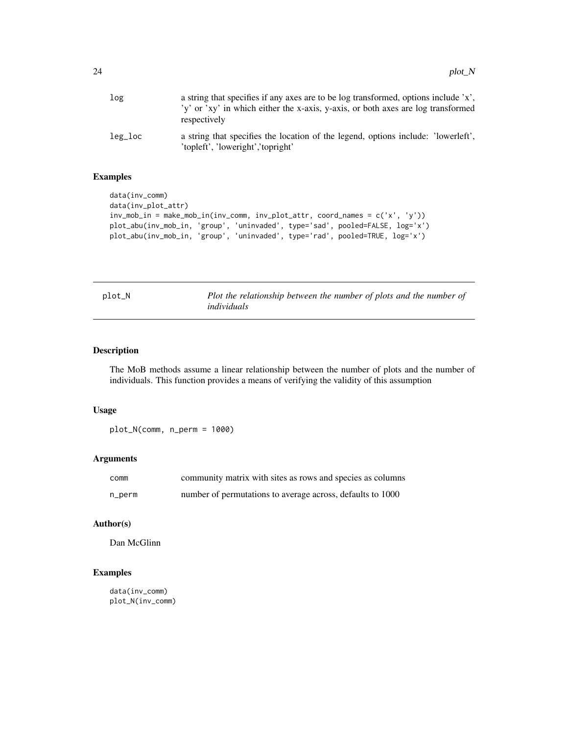<span id="page-23-0"></span>

| log     | a string that specifies if any axes are to be log transformed, options include 'x',<br>'y' or 'xy' in which either the x-axis, y-axis, or both axes are log transformed<br>respectively |
|---------|-----------------------------------------------------------------------------------------------------------------------------------------------------------------------------------------|
| leg_loc | a string that specifies the location of the legend, options include: 'lowerleft',<br>'topleft', 'loweright','topright'                                                                  |

# Examples

```
data(inv_comm)
data(inv_plot_attr)
inv_mob_in = make_mob_in(inv_comm, inv_plot_attr, coord_names = c('x', 'y'))
plot_abu(inv_mob_in, 'group', 'uninvaded', type='sad', pooled=FALSE, log='x')
plot_abu(inv_mob_in, 'group', 'uninvaded', type='rad', pooled=TRUE, log='x')
```

| D.L<br>O<br>т |  |  |  |
|---------------|--|--|--|
|---------------|--|--|--|

Plot the relationship between the number of plots and the number of *individuals*

#### Description

The MoB methods assume a linear relationship between the number of plots and the number of individuals. This function provides a means of verifying the validity of this assumption

## Usage

plot\_N(comm, n\_perm = 1000)

# Arguments

| comm   | community matrix with sites as rows and species as columns |
|--------|------------------------------------------------------------|
| n_perm | number of permutations to average across, defaults to 1000 |

# Author(s)

Dan McGlinn

# Examples

data(inv\_comm) plot\_N(inv\_comm)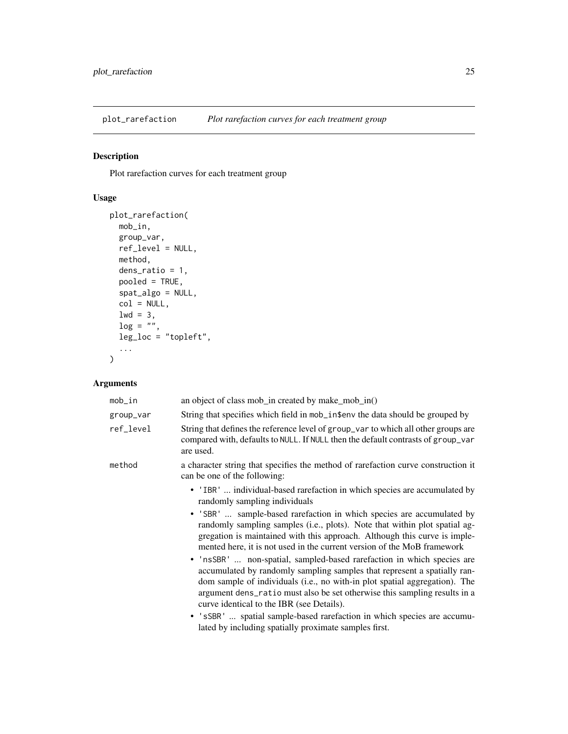<span id="page-24-0"></span>plot\_rarefaction *Plot rarefaction curves for each treatment group*

# Description

Plot rarefaction curves for each treatment group

# Usage

```
plot_rarefaction(
 mob_in,
 group_var,
 ref_level = NULL,
 method,
 dens_ratio = 1,
 pooled = TRUE,
  spat_algo = NULL,
  col = NULL,1wd = 3,\log = \frac{n}{n},
 leg_loc = "topleft",
  ...
)
```

| mob_in    | an object of class mob_in created by make_mob_in()                                                                                                                                                                                                                                                                                                         |
|-----------|------------------------------------------------------------------------------------------------------------------------------------------------------------------------------------------------------------------------------------------------------------------------------------------------------------------------------------------------------------|
| group_var | String that specifies which field in mob_in\$env the data should be grouped by                                                                                                                                                                                                                                                                             |
| ref_level | String that defines the reference level of group_var to which all other groups are<br>compared with, defaults to NULL. If NULL then the default contrasts of group_var<br>are used.                                                                                                                                                                        |
| method    | a character string that specifies the method of rarefaction curve construction it<br>can be one of the following:                                                                                                                                                                                                                                          |
|           | • 'IBR'  individual-based rarefaction in which species are accumulated by<br>randomly sampling individuals                                                                                                                                                                                                                                                 |
|           | • 'SBR'  sample-based rarefaction in which species are accumulated by<br>randomly sampling samples (i.e., plots). Note that within plot spatial ag-<br>gregation is maintained with this approach. Although this curve is imple-<br>mented here, it is not used in the current version of the MoB framework                                                |
|           | • 'nsSBR'  non-spatial, sampled-based rarefaction in which species are<br>accumulated by randomly sampling samples that represent a spatially ran-<br>dom sample of individuals (i.e., no with-in plot spatial aggregation). The<br>argument dens_ratio must also be set otherwise this sampling results in a<br>curve identical to the IBR (see Details). |
|           | • 'sSBR'  spatial sample-based rarefaction in which species are accumu-<br>lated by including spatially proximate samples first.                                                                                                                                                                                                                           |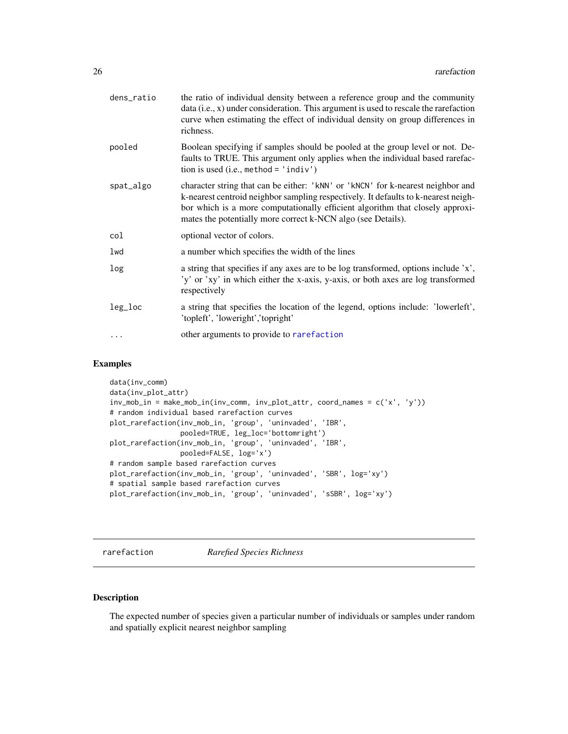<span id="page-25-0"></span>

| dens_ratio | the ratio of individual density between a reference group and the community<br>data (i.e., x) under consideration. This argument is used to rescale the rarefaction<br>curve when estimating the effect of individual density on group differences in<br>richness.                                                     |
|------------|------------------------------------------------------------------------------------------------------------------------------------------------------------------------------------------------------------------------------------------------------------------------------------------------------------------------|
| pooled     | Boolean specifying if samples should be pooled at the group level or not. De-<br>faults to TRUE. This argument only applies when the individual based rarefac-<br>tion is used (i.e., method = $'$ indiv')                                                                                                             |
| spat_algo  | character string that can be either: 'kNN' or 'kNCN' for k-nearest neighbor and<br>k-nearest centroid neighbor sampling respectively. It defaults to k-nearest neigh-<br>bor which is a more computationally efficient algorithm that closely approxi-<br>mates the potentially more correct k-NCN algo (see Details). |
| col        | optional vector of colors.                                                                                                                                                                                                                                                                                             |
| lwd        | a number which specifies the width of the lines                                                                                                                                                                                                                                                                        |
| log        | a string that specifies if any axes are to be log transformed, options include 'x',<br>'y' or 'xy' in which either the x-axis, y-axis, or both axes are log transformed<br>respectively                                                                                                                                |
| leg_loc    | a string that specifies the location of the legend, options include: 'lowerleft',<br>'topleft', 'loweright','topright'                                                                                                                                                                                                 |
|            | other arguments to provide to rarefaction                                                                                                                                                                                                                                                                              |
|            |                                                                                                                                                                                                                                                                                                                        |

## Examples

```
data(inv_comm)
data(inv_plot_attr)
inv_mob_in = make_mob_in(inv_comm, inv_plot_attr, coord_names = c('x', 'y'))
# random individual based rarefaction curves
plot_rarefaction(inv_mob_in, 'group', 'uninvaded', 'IBR',
                 pooled=TRUE, leg_loc='bottomright')
plot_rarefaction(inv_mob_in, 'group', 'uninvaded', 'IBR',
                 pooled=FALSE, log='x')
# random sample based rarefaction curves
plot_rarefaction(inv_mob_in, 'group', 'uninvaded', 'SBR', log='xy')
# spatial sample based rarefaction curves
plot_rarefaction(inv_mob_in, 'group', 'uninvaded', 'sSBR', log='xy')
```
<span id="page-25-1"></span>rarefaction *Rarefied Species Richness*

# Description

The expected number of species given a particular number of individuals or samples under random and spatially explicit nearest neighbor sampling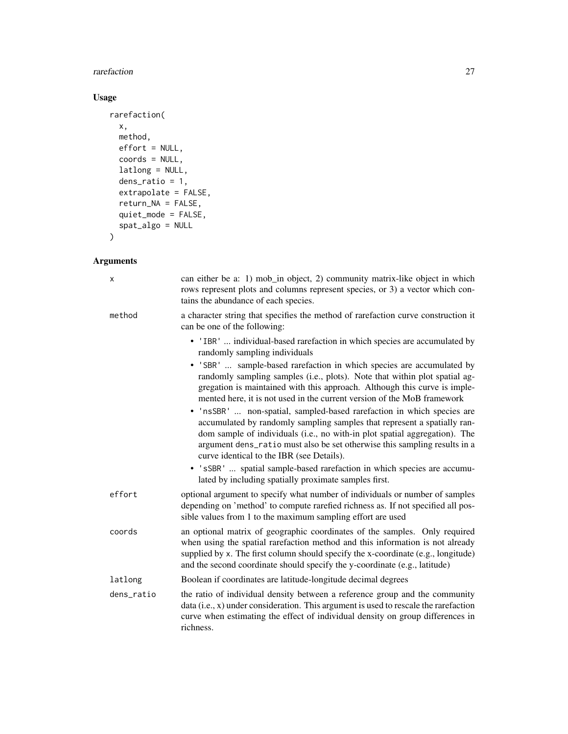#### rarefaction 27

# Usage

```
rarefaction(
 x,
 method,
 effort = NULL,
 coords = NULL,
 latlong = NULL,
 dens_ratio = 1,
 extrapolate = FALSE,
 return_NA = FALSE,
 quiet_mode = FALSE,
 spat_algo = NULL
\mathcal{L}
```

| X          | can either be a: 1) mob_in object, 2) community matrix-like object in which<br>rows represent plots and columns represent species, or 3) a vector which con-<br>tains the abundance of each species.                                                                                                                                                                                                                                                                                                                                                                                                                         |
|------------|------------------------------------------------------------------------------------------------------------------------------------------------------------------------------------------------------------------------------------------------------------------------------------------------------------------------------------------------------------------------------------------------------------------------------------------------------------------------------------------------------------------------------------------------------------------------------------------------------------------------------|
| method     | a character string that specifies the method of rarefaction curve construction it<br>can be one of the following:                                                                                                                                                                                                                                                                                                                                                                                                                                                                                                            |
|            | • 'IBR'  individual-based rarefaction in which species are accumulated by<br>randomly sampling individuals                                                                                                                                                                                                                                                                                                                                                                                                                                                                                                                   |
|            | • 'SBR'  sample-based rarefaction in which species are accumulated by<br>randomly sampling samples (i.e., plots). Note that within plot spatial ag-<br>gregation is maintained with this approach. Although this curve is imple-<br>mented here, it is not used in the current version of the MoB framework<br>· 'nsSBR'  non-spatial, sampled-based rarefaction in which species are<br>accumulated by randomly sampling samples that represent a spatially ran-<br>dom sample of individuals (i.e., no with-in plot spatial aggregation). The<br>argument dens_ratio must also be set otherwise this sampling results in a |
|            | curve identical to the IBR (see Details).<br>• 'sSBR'  spatial sample-based rarefaction in which species are accumu-<br>lated by including spatially proximate samples first.                                                                                                                                                                                                                                                                                                                                                                                                                                                |
| effort     | optional argument to specify what number of individuals or number of samples<br>depending on 'method' to compute rarefied richness as. If not specified all pos-<br>sible values from 1 to the maximum sampling effort are used                                                                                                                                                                                                                                                                                                                                                                                              |
| coords     | an optional matrix of geographic coordinates of the samples. Only required<br>when using the spatial rarefaction method and this information is not already<br>supplied by x. The first column should specify the x-coordinate (e.g., longitude)<br>and the second coordinate should specify the y-coordinate (e.g., latitude)                                                                                                                                                                                                                                                                                               |
| latlong    | Boolean if coordinates are latitude-longitude decimal degrees                                                                                                                                                                                                                                                                                                                                                                                                                                                                                                                                                                |
| dens_ratio | the ratio of individual density between a reference group and the community<br>data (i.e., x) under consideration. This argument is used to rescale the rarefaction<br>curve when estimating the effect of individual density on group differences in<br>richness.                                                                                                                                                                                                                                                                                                                                                           |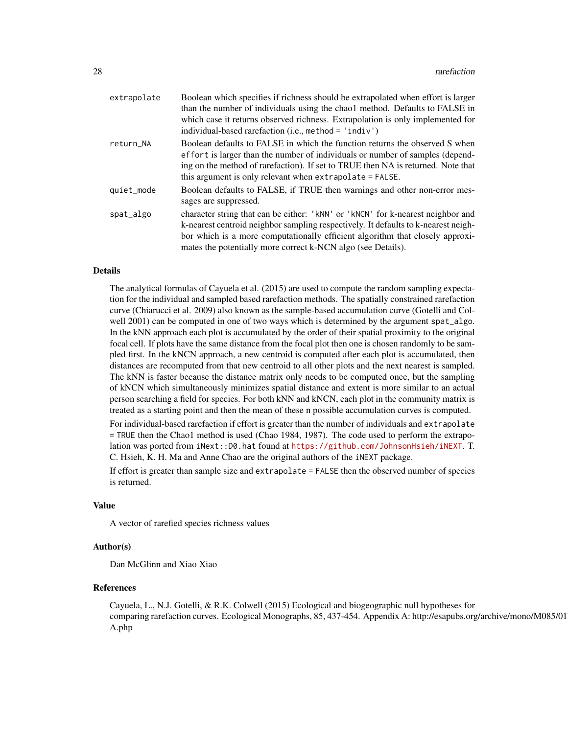| Boolean which specifies if richness should be extrapolated when effort is larger<br>than the number of individuals using the chao1 method. Defaults to FALSE in<br>which case it returns observed richness. Extrapolation is only implemented for<br>individual-based rarefaction (i.e., method = $'$ indiv')          |
|------------------------------------------------------------------------------------------------------------------------------------------------------------------------------------------------------------------------------------------------------------------------------------------------------------------------|
| Boolean defaults to FALSE in which the function returns the observed S when<br>effort is larger than the number of individuals or number of samples (depend-<br>ing on the method of rarefaction). If set to TRUE then NA is returned. Note that<br>this argument is only relevant when extrapolate = FALSE.           |
| Boolean defaults to FALSE, if TRUE then warnings and other non-error mes-<br>sages are suppressed.                                                                                                                                                                                                                     |
| character string that can be either: 'kNN' or 'kNCN' for k-nearest neighbor and<br>k-nearest centroid neighbor sampling respectively. It defaults to k-nearest neigh-<br>bor which is a more computationally efficient algorithm that closely approxi-<br>mates the potentially more correct k-NCN algo (see Details). |
|                                                                                                                                                                                                                                                                                                                        |

### Details

The analytical formulas of Cayuela et al. (2015) are used to compute the random sampling expectation for the individual and sampled based rarefaction methods. The spatially constrained rarefaction curve (Chiarucci et al. 2009) also known as the sample-based accumulation curve (Gotelli and Colwell 2001) can be computed in one of two ways which is determined by the argument spat\_algo. In the kNN approach each plot is accumulated by the order of their spatial proximity to the original focal cell. If plots have the same distance from the focal plot then one is chosen randomly to be sampled first. In the kNCN approach, a new centroid is computed after each plot is accumulated, then distances are recomputed from that new centroid to all other plots and the next nearest is sampled. The kNN is faster because the distance matrix only needs to be computed once, but the sampling of kNCN which simultaneously minimizes spatial distance and extent is more similar to an actual person searching a field for species. For both kNN and kNCN, each plot in the community matrix is treated as a starting point and then the mean of these n possible accumulation curves is computed.

For individual-based rarefaction if effort is greater than the number of individuals and extrapolate = TRUE then the Chao1 method is used (Chao 1984, 1987). The code used to perform the extrapolation was ported from iNext::D0.hat found at <https://github.com/JohnsonHsieh/iNEXT>. T. C. Hsieh, K. H. Ma and Anne Chao are the original authors of the iNEXT package.

If effort is greater than sample size and extrapolate = FALSE then the observed number of species is returned.

#### Value

A vector of rarefied species richness values

#### Author(s)

Dan McGlinn and Xiao Xiao

#### References

Cayuela, L., N.J. Gotelli, & R.K. Colwell (2015) Ecological and biogeographic null hypotheses for comparing rarefaction curves. Ecological Monographs, 85, 437-454. Appendix A: http://esapubs.org/archive/mono/M085/01 A.php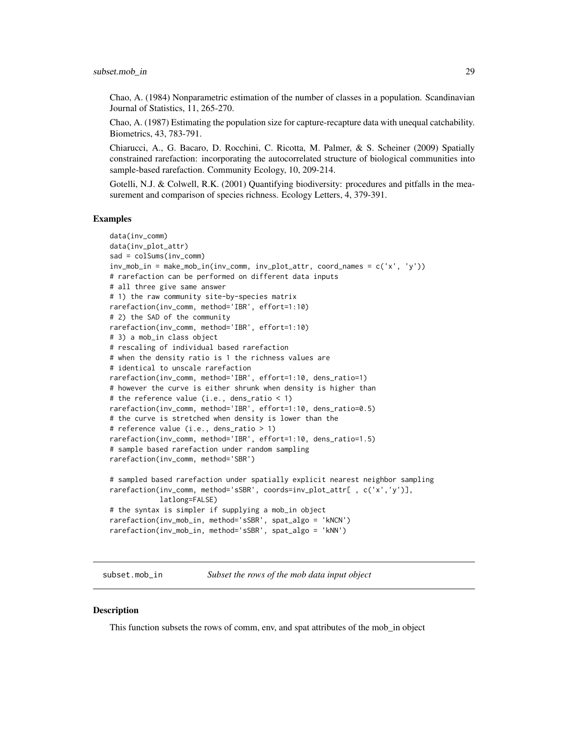<span id="page-28-0"></span>Chao, A. (1984) Nonparametric estimation of the number of classes in a population. Scandinavian Journal of Statistics, 11, 265-270.

Chao, A. (1987) Estimating the population size for capture-recapture data with unequal catchability. Biometrics, 43, 783-791.

Chiarucci, A., G. Bacaro, D. Rocchini, C. Ricotta, M. Palmer, & S. Scheiner (2009) Spatially constrained rarefaction: incorporating the autocorrelated structure of biological communities into sample-based rarefaction. Community Ecology, 10, 209-214.

Gotelli, N.J. & Colwell, R.K. (2001) Quantifying biodiversity: procedures and pitfalls in the measurement and comparison of species richness. Ecology Letters, 4, 379-391.

#### Examples

```
data(inv_comm)
data(inv_plot_attr)
sad = colSums(inv_comm)
inv_{m}ob_in = make_mob_in(inv_comm, inv_plot_attr, coord_names = c('x', 'y'))# rarefaction can be performed on different data inputs
# all three give same answer
# 1) the raw community site-by-species matrix
rarefaction(inv_comm, method='IBR', effort=1:10)
# 2) the SAD of the community
rarefaction(inv_comm, method='IBR', effort=1:10)
# 3) a mob_in class object
# rescaling of individual based rarefaction
# when the density ratio is 1 the richness values are
# identical to unscale rarefaction
rarefaction(inv_comm, method='IBR', effort=1:10, dens_ratio=1)
# however the curve is either shrunk when density is higher than
# the reference value (i.e., dens_ratio < 1)
rarefaction(inv_comm, method='IBR', effort=1:10, dens_ratio=0.5)
# the curve is stretched when density is lower than the
# reference value (i.e., dens_ratio > 1)
rarefaction(inv_comm, method='IBR', effort=1:10, dens_ratio=1.5)
# sample based rarefaction under random sampling
rarefaction(inv_comm, method='SBR')
# sampled based rarefaction under spatially explicit nearest neighbor sampling
rarefaction(inv_comm, method='sSBR', coords=inv_plot_attr[ , c('x','y')],
            latlong=FALSE)
# the syntax is simpler if supplying a mob_in object
rarefaction(inv_mob_in, method='sSBR', spat_algo = 'kNCN')
rarefaction(inv_mob_in, method='sSBR', spat_algo = 'kNN')
```
subset.mob\_in *Subset the rows of the mob data input object*

#### **Description**

This function subsets the rows of comm, env, and spat attributes of the mob\_in object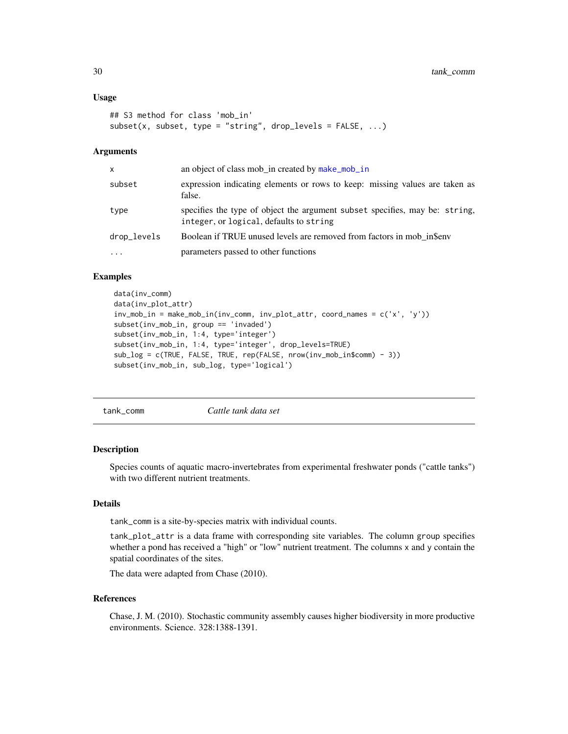#### <span id="page-29-0"></span>Usage

```
## S3 method for class 'mob_in'
subset(x, subset, type = "string", drop_levels = FALSE, ...)
```
# Arguments

| an object of class mob in created by make_mob_in                                                                       |
|------------------------------------------------------------------------------------------------------------------------|
| expression indicating elements or rows to keep: missing values are taken as<br>false.                                  |
| specifies the type of object the argument subset specifies, may be: string,<br>integer, or logical, defaults to string |
| Boolean if TRUE unused levels are removed from factors in mob insenv                                                   |
| parameters passed to other functions                                                                                   |
|                                                                                                                        |

#### Examples

```
data(inv_comm)
data(inv_plot_attr)
inv_mob_in = make_mob_in(inv_comm, inv_plot_attr, coord_names = c('x', 'y'))
subset(inv_mob_in, group == 'invaded')
subset(inv_mob_in, 1:4, type='integer')
subset(inv_mob_in, 1:4, type='integer', drop_levels=TRUE)
sub_log = c(TRUE, FALSE, TRUE, rep(FALSE, nrow(inv_mob_in$comm) - 3))
subset(inv_mob_in, sub_log, type='logical')
```
tank\_comm *Cattle tank data set*

#### Description

Species counts of aquatic macro-invertebrates from experimental freshwater ponds ("cattle tanks") with two different nutrient treatments.

# Details

tank\_comm is a site-by-species matrix with individual counts.

tank\_plot\_attr is a data frame with corresponding site variables. The column group specifies whether a pond has received a "high" or "low" nutrient treatment. The columns x and y contain the spatial coordinates of the sites.

The data were adapted from Chase (2010).

#### References

Chase, J. M. (2010). Stochastic community assembly causes higher biodiversity in more productive environments. Science. 328:1388-1391.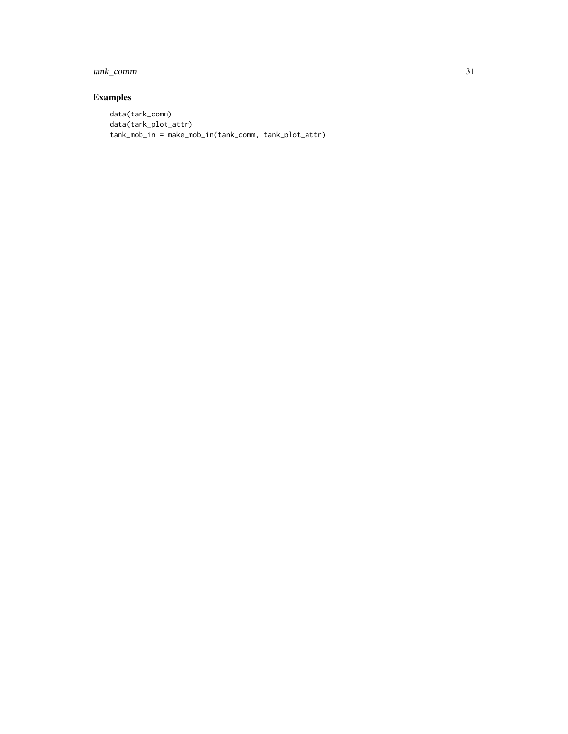# tank\_comm 31

# Examples

```
data(tank_comm)
data(tank_plot_attr)
tank_mob_in = make_mob_in(tank_comm, tank_plot_attr)
```